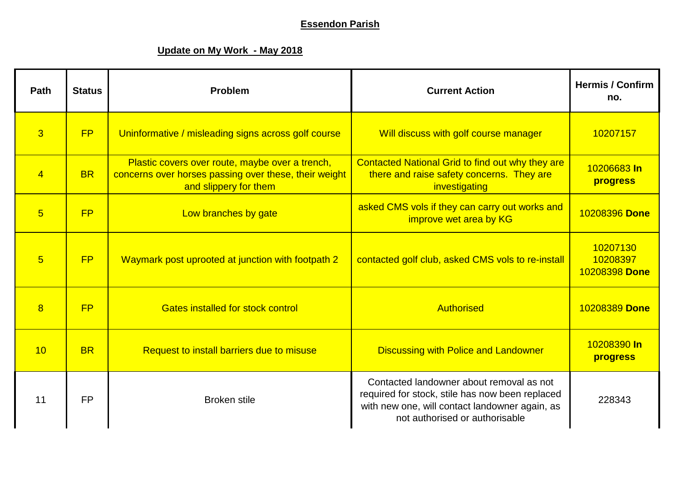## **Essendon Parish**

## **Update on My Work - May 2018**

| Path           | <b>Status</b> | Problem                                                                                                                           | <b>Current Action</b>                                                                                                                                                           | <b>Hermis / Confirm</b><br>no.        |
|----------------|---------------|-----------------------------------------------------------------------------------------------------------------------------------|---------------------------------------------------------------------------------------------------------------------------------------------------------------------------------|---------------------------------------|
| $\overline{3}$ | FP            | Uninformative / misleading signs across golf course                                                                               | Will discuss with golf course manager                                                                                                                                           | 10207157                              |
| $\overline{4}$ | <b>BR</b>     | Plastic covers over route, maybe over a trench,<br>concerns over horses passing over these, their weight<br>and slippery for them | Contacted National Grid to find out why they are<br>there and raise safety concerns. They are<br>investigating                                                                  | 10206683 In<br><b>progress</b>        |
| $\overline{5}$ | <b>FP</b>     | Low branches by gate                                                                                                              | asked CMS vols if they can carry out works and<br>improve wet area by KG                                                                                                        | 10208396 Done                         |
| $5\overline{}$ | <b>FP</b>     | Waymark post uprooted at junction with footpath 2                                                                                 | contacted golf club, asked CMS vols to re-install                                                                                                                               | 10207130<br>10208397<br>10208398 Done |
| 8              | <b>FP</b>     | <b>Gates installed for stock control</b>                                                                                          | <b>Authorised</b>                                                                                                                                                               | 10208389 Done                         |
| 10             | <b>BR</b>     | Request to install barriers due to misuse                                                                                         | <b>Discussing with Police and Landowner</b>                                                                                                                                     | 10208390 In<br><b>progress</b>        |
| 11             | <b>FP</b>     | <b>Broken</b> stile                                                                                                               | Contacted landowner about removal as not<br>required for stock, stile has now been replaced<br>with new one, will contact landowner again, as<br>not authorised or authorisable | 228343                                |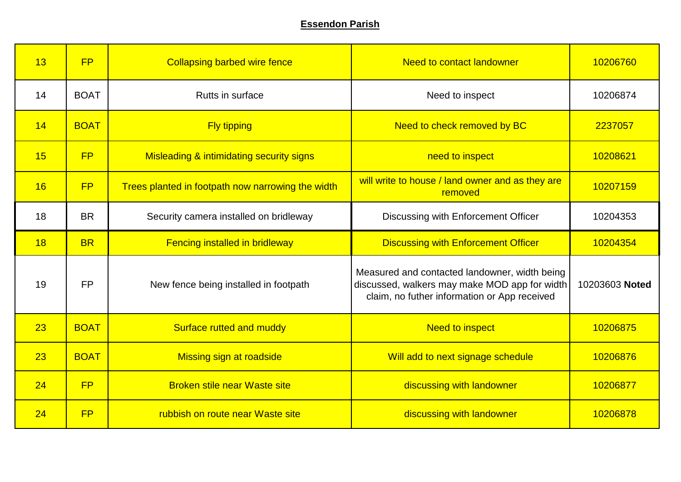## **Essendon Parish**

| 13 | FP          | <b>Collapsing barbed wire fence</b>                 | <b>Need to contact landowner</b>                                                                                                               | 10206760       |
|----|-------------|-----------------------------------------------------|------------------------------------------------------------------------------------------------------------------------------------------------|----------------|
| 14 | <b>BOAT</b> | Rutts in surface                                    | Need to inspect                                                                                                                                | 10206874       |
| 14 | <b>BOAT</b> | <b>Fly tipping</b>                                  | Need to check removed by BC                                                                                                                    | 2237057        |
| 15 | FP          | <b>Misleading &amp; intimidating security signs</b> | need to inspect                                                                                                                                | 10208621       |
| 16 | <b>FP</b>   | Trees planted in footpath now narrowing the width   | will write to house / land owner and as they are<br>removed                                                                                    | 10207159       |
| 18 | <b>BR</b>   | Security camera installed on bridleway              | Discussing with Enforcement Officer                                                                                                            | 10204353       |
| 18 | <b>BR</b>   | <b>Fencing installed in bridleway</b>               | <b>Discussing with Enforcement Officer</b>                                                                                                     | 10204354       |
| 19 | <b>FP</b>   | New fence being installed in footpath               | Measured and contacted landowner, width being<br>discussed, walkers may make MOD app for width<br>claim, no futher information or App received | 10203603 Noted |
| 23 | <b>BOAT</b> | Surface rutted and muddy                            | <b>Need to inspect</b>                                                                                                                         | 10206875       |
| 23 | <b>BOAT</b> | Missing sign at roadside                            | Will add to next signage schedule                                                                                                              | 10206876       |
| 24 | FP          | <b>Broken stile near Waste site</b>                 | discussing with landowner                                                                                                                      | 10206877       |
| 24 | FP          | rubbish on route near Waste site                    | discussing with landowner                                                                                                                      | 10206878       |